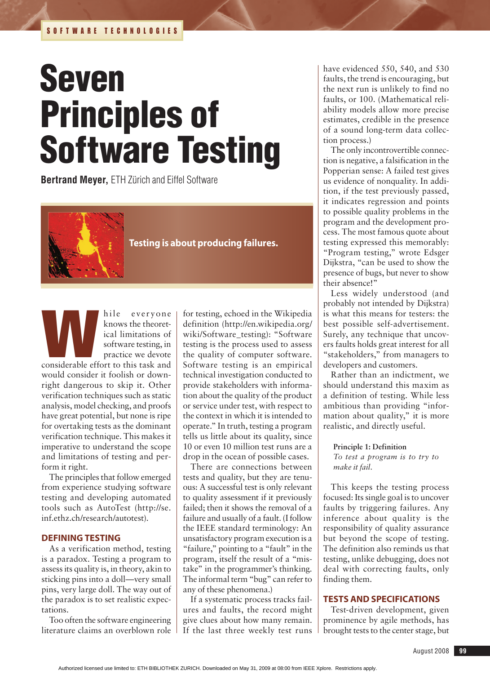# Seven Principles of Software Testing

**Bertrand Meyer,** ETH Zürich and Eiffel Software



Testing is about producing failures.

hile everyone<br>
knows the theoret-<br>
ical limitations of<br>
software testing, in<br>
practice we devote<br>
considerable effort to this task and knows the theoretical limitations of software testing, in practice we devote would consider it foolish or downright dangerous to skip it. Other verification techniques such as static analysis, model checking, and proofs have great potential, but none is ripe for overtaking tests as the dominant verification technique. This makes it imperative to understand the scope and limitations of testing and perform it right.

The principles that follow emerged from experience studying software testing and developing automated tools such as AutoTest (http://se. inf.ethz.ch/research/autotest).

# Defining testing

As a verification method, testing is a paradox. Testing a program to assess its quality is, in theory, akin to sticking pins into a doll—very small pins, very large doll. The way out of the paradox is to set realistic expectations.

Too often the software engineering literature claims an overblown role

for testing, echoed in the Wikipedia definition (http://en.wikipedia.org/ wiki/Software\_testing): "Software testing is the process used to assess the quality of computer software. Software testing is an empirical technical investigation conducted to provide stakeholders with information about the quality of the product or service under test, with respect to the context in which it is intended to operate." In truth, testing a program tells us little about its quality, since 10 or even 10 million test runs are a drop in the ocean of possible cases.

There are connections between tests and quality, but they are tenuous: A successful test is only relevant to quality assessment if it previously failed; then it shows the removal of a failure and usually of a fault. (I follow the IEEE standard terminology: An unsatisfactory program execution is a "failure," pointing to a "fault" in the program, itself the result of a "mistake" in the programmer's thinking. The informal term "bug" can refer to any of these phenomena.)

If a systematic process tracks failures and faults, the record might give clues about how many remain. If the last three weekly test runs have evidenced 550, 540, and 530 faults, the trend is encouraging, but the next run is unlikely to find no faults, or 100. (Mathematical reliability models allow more precise estimates, credible in the presence of a sound long-term data collection process.)

The only incontrovertible connection is negative, a falsification in the Popperian sense: A failed test gives us evidence of nonquality. In addition, if the test previously passed, it indicates regression and points to possible quality problems in the program and the development process. The most famous quote about testing expressed this memorably: "Program testing," wrote Edsger Dijkstra, "can be used to show the presence of bugs, but never to show their absence!"

Less widely understood (and probably not intended by Dijkstra) is what this means for testers: the best possible self-advertisement. Surely, any technique that uncovers faults holds great interest for all "stakeholders," from managers to developers and customers.

Rather than an indictment, we should understand this maxim as a definition of testing. While less ambitious than providing "information about quality," it is more realistic, and directly useful.

**Principle 1: Definition**

*To test a program is to try to make it fail.*

This keeps the testing process focused: Its single goal is to uncover faults by triggering failures. Any inference about quality is the responsibility of quality assurance but beyond the scope of testing. The definition also reminds us that testing, unlike debugging, does not deal with correcting faults, only finding them.

# Tests and specifications

Test-driven development, given prominence by agile methods, has brought tests to the center stage, but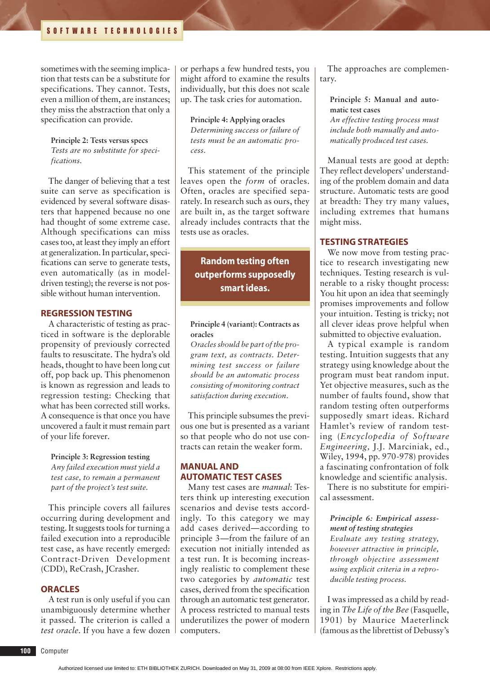sometimes with the seeming implication that tests can be a substitute for specifications. They cannot. Tests, even a million of them, are instances; they miss the abstraction that only a specification can provide.

# **Principle 2: Tests versus specs** *Tests are no substitute for specifications.*

The danger of believing that a test suite can serve as specification is evidenced by several software disasters that happened because no one had thought of some extreme case. Although specifications can miss cases too, at least they imply an effort at generalization. In particular, specifications can serve to generate tests, even automatically (as in modeldriven testing); the reverse is not possible without human intervention.

# Regression testing

A characteristic of testing as practiced in software is the deplorable propensity of previously corrected faults to resuscitate. The hydra's old heads, thought to have been long cut off, pop back up. This phenomenon is known as regression and leads to regression testing: Checking that what has been corrected still works. A consequence is that once you have uncovered a fault it must remain part of your life forever.

# **Principle 3: Regression testing**

*Any failed execution must yield a test case, to remain a permanent part of the project's test suite.*

This principle covers all failures occurring during development and testing. It suggests tools for turning a failed execution into a reproducible test case, as have recently emerged: Contract-Driven Development (CDD), ReCrash, JCrasher.

#### **ORACLES**

A test run is only useful if you can unambiguously determine whether it passed. The criterion is called a *test oracle*. If you have a few dozen or perhaps a few hundred tests, you might afford to examine the results individually, but this does not scale up. The task cries for automation.

**Principle 4: Applying oracles** *Determining success or failure of tests must be an automatic process.*

This statement of the principle leaves open the *form* of oracles. Often, oracles are specified separately. In research such as ours, they are built in, as the target software already includes contracts that the tests use as oracles.

# Random testing often outperforms supposedly smart ideas.

#### **Principle 4 (variant): Contracts as oracles**

*Oracles should be part of the program text, as contracts. Determining test success or failure should be an automatic process consisting of monitoring contract satisfaction during execution.*

This principle subsumes the previous one but is presented as a variant so that people who do not use contracts can retain the weaker form.

# Manual and automatic test cases

Many test cases are *manual*: Testers think up interesting execution scenarios and devise tests accordingly. To this category we may add cases derived—according to principle 3—from the failure of an execution not initially intended as a test run. It is becoming increasingly realistic to complement these two categories by *automatic* test cases, derived from the specification through an automatic test generator. A process restricted to manual tests underutilizes the power of modern computers.

The approaches are complementary.

**Principle 5: Manual and automatic test cases**

*An effective testing process must include both manually and automatically produced test cases.*

Manual tests are good at depth: They reflect developers' understanding of the problem domain and data structure. Automatic tests are good at breadth: They try many values, including extremes that humans might miss.

#### Testing strategies

We now move from testing practice to research investigating new techniques. Testing research is vulnerable to a risky thought process: You hit upon an idea that seemingly promises improvements and follow your intuition. Testing is tricky; not all clever ideas prove helpful when submitted to objective evaluation.

A typical example is random testing. Intuition suggests that any strategy using knowledge about the program must beat random input. Yet objective measures, such as the number of faults found, show that random testing often outperforms supposedly smart ideas. Richard Hamlet's review of random testing (*Encyclopedia of Software Engineering,* J.J. Marciniak, ed., Wiley, 1994, pp. 970-978) provides a fascinating confrontation of folk knowledge and scientific analysis.

There is no substitute for empirical assessment.

*Principle 6: Empirical assessment of testing strategies Evaluate any testing strategy, however attractive in principle, through objective assessment using explicit criteria in a reproducible testing process.*

I was impressed as a child by reading in *The Life of the Bee* (Fasquelle, 1901) by Maurice Maeterlinck (famous as the librettist of Debussy's